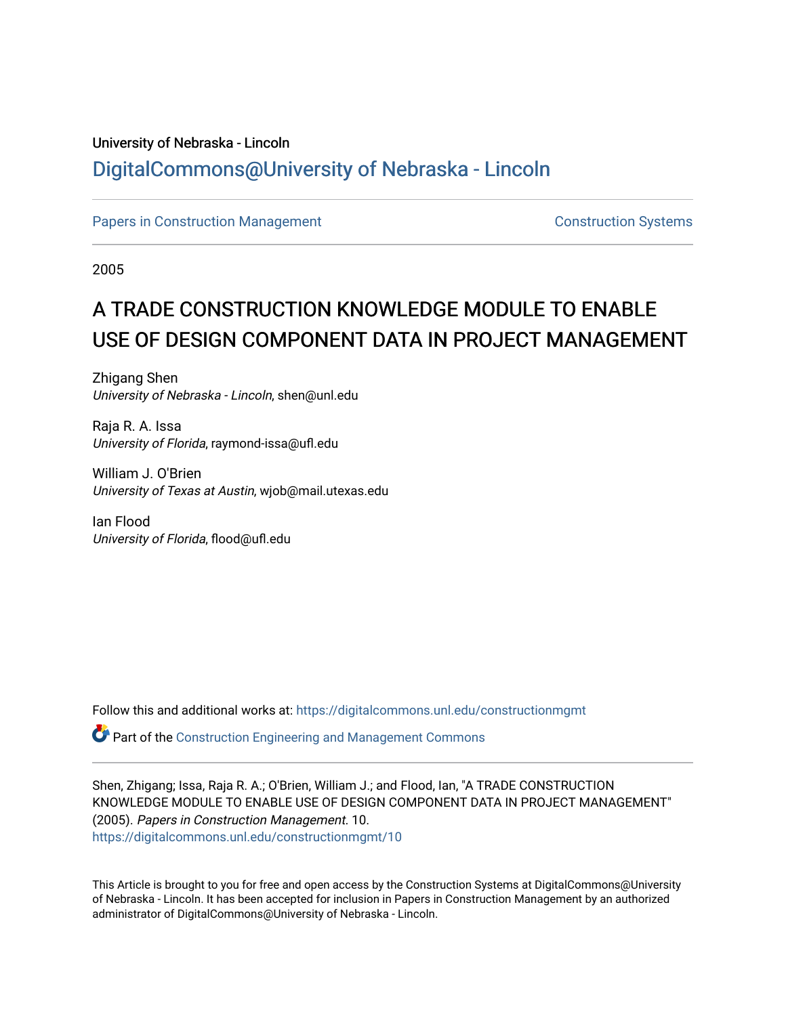## University of Nebraska - Lincoln [DigitalCommons@University of Nebraska - Lincoln](https://digitalcommons.unl.edu/)

[Papers in Construction Management](https://digitalcommons.unl.edu/constructionmgmt) **Construction Systems** Construction Systems

2005

# A TRADE CONSTRUCTION KNOWLEDGE MODULE TO ENABLE USE OF DESIGN COMPONENT DATA IN PROJECT MANAGEMENT

Zhigang Shen University of Nebraska - Lincoln, shen@unl.edu

Raja R. A. Issa University of Florida, raymond-issa@ufl.edu

William J. O'Brien University of Texas at Austin, wjob@mail.utexas.edu

Ian Flood University of Florida, flood@ufl.edu

Follow this and additional works at: [https://digitalcommons.unl.edu/constructionmgmt](https://digitalcommons.unl.edu/constructionmgmt?utm_source=digitalcommons.unl.edu%2Fconstructionmgmt%2F10&utm_medium=PDF&utm_campaign=PDFCoverPages) 

Part of the [Construction Engineering and Management Commons](http://network.bepress.com/hgg/discipline/253?utm_source=digitalcommons.unl.edu%2Fconstructionmgmt%2F10&utm_medium=PDF&utm_campaign=PDFCoverPages)

Shen, Zhigang; Issa, Raja R. A.; O'Brien, William J.; and Flood, Ian, "A TRADE CONSTRUCTION KNOWLEDGE MODULE TO ENABLE USE OF DESIGN COMPONENT DATA IN PROJECT MANAGEMENT" (2005). Papers in Construction Management. 10. [https://digitalcommons.unl.edu/constructionmgmt/10](https://digitalcommons.unl.edu/constructionmgmt/10?utm_source=digitalcommons.unl.edu%2Fconstructionmgmt%2F10&utm_medium=PDF&utm_campaign=PDFCoverPages)

This Article is brought to you for free and open access by the Construction Systems at DigitalCommons@University of Nebraska - Lincoln. It has been accepted for inclusion in Papers in Construction Management by an authorized administrator of DigitalCommons@University of Nebraska - Lincoln.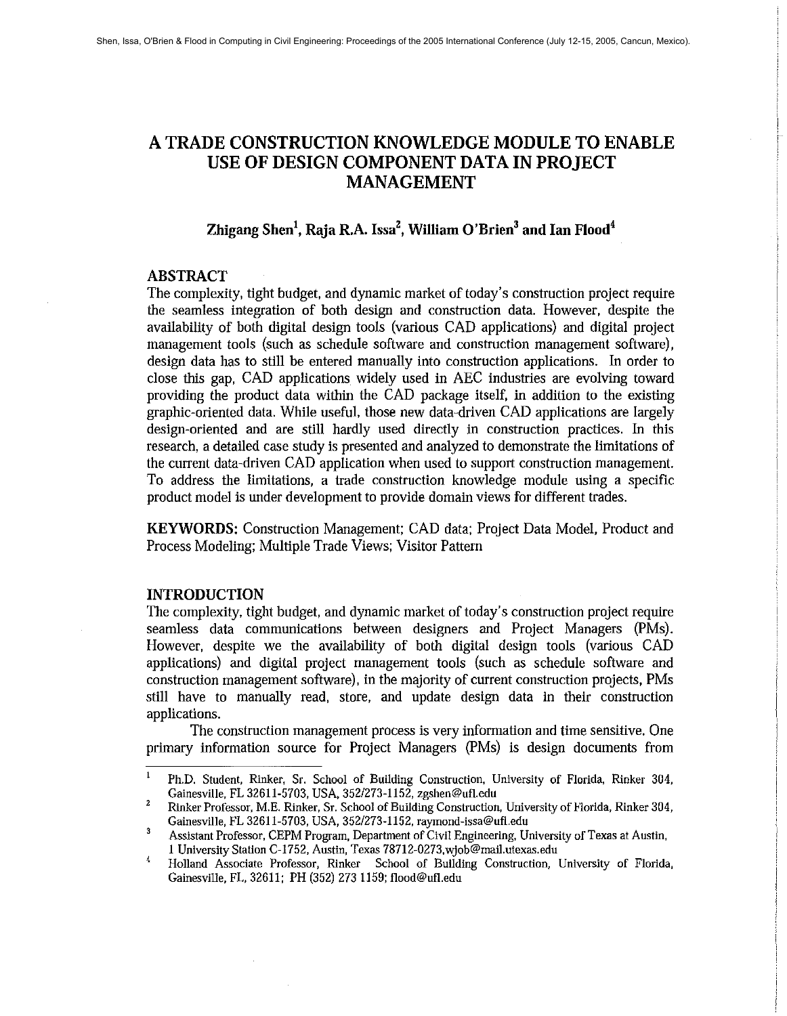## A TRADE CONSTRUCTION KNOWLEDGE MODULE TO ENABLE USE OF DESIGN COMPONENT DATA IN PROJECT MANAGEMENT

### Zhigang Shen $^1$ , Raja R.A. Issa $^2$ , William O'Brien $^3$  and Ian Flood $^4$

#### ABSTRACT

The complexity, tight budget, and dynamic market of today's construction project require the seamless integration of both design and construction data, However, despite the availability of both digital design tools (various CAD applications) and digital project management tools (such as schedule software and construction management software), design data has to still be entered manually into construction applications. In order to close this gap, CAD applications widely used in AEC industries are evolving toward providing the product data within the CAD package itself, in addition to the existing graphic-oriented data. While useful, those new data-driven CAD applications are largely design-oriented and are still hardly used directly in construction practices. In this research, a detailed case study is presented and analyzed to demonstrate the limitations of the current data-driven CAD application when used to support construction management. To address the limitations, a trade construction knowledge module using a specific product model is under development to provide domain views for different trades.

KEYWORDS: Construction Management; CAD data; Project Data Model, Product and Process Modeling; Multiple Trade Views; Visitor Pattern

#### INTRODUCTION

The complexity, tight budget, and dynamic market of today's construction project require seamless data communications between designers and Project Managers (PMs). However, despite we the availability of both digital design tools (various CAD applications) and digital project management tools (such as schedule software and construction management software), in the majority of current construction projects, PMs still have to manually read, store, and update design data in their construction applications.

The construction management process is very information and time sensitive. One primary information source for Project Managers (PMs) is design documents from

 $\mathbf{1}$ PhD. Student, Rinker, Sr. School of Building Construction, University of Florida, Rinker 304, Gainesville. FL 32611-5703. USA, 3521273-1152, zgshen@ufl.edu

 $\overline{2}$ Rinker Professor. M.E. Rinker. Sr. School of Building Construction. University of Florida, Rinker 304, Gainesville. FL 32611-5703. USA, 3521273-1152. raymond-issa@ufl.edu

 $\overline{\mathbf{3}}$ Assistant Professor, CEPM Program, Department of Civil Engineering, University of Texas at Austin, I University Station C-1752, Austin, Texas 78712-0273,wJob@mail.utexas.edu

<sup>4</sup> Holland Associate Professor, Rinker School of Building Construction, University of Florida, Gainesville, FL, 32611; PH (352) 273 1159; flood@ufl.edu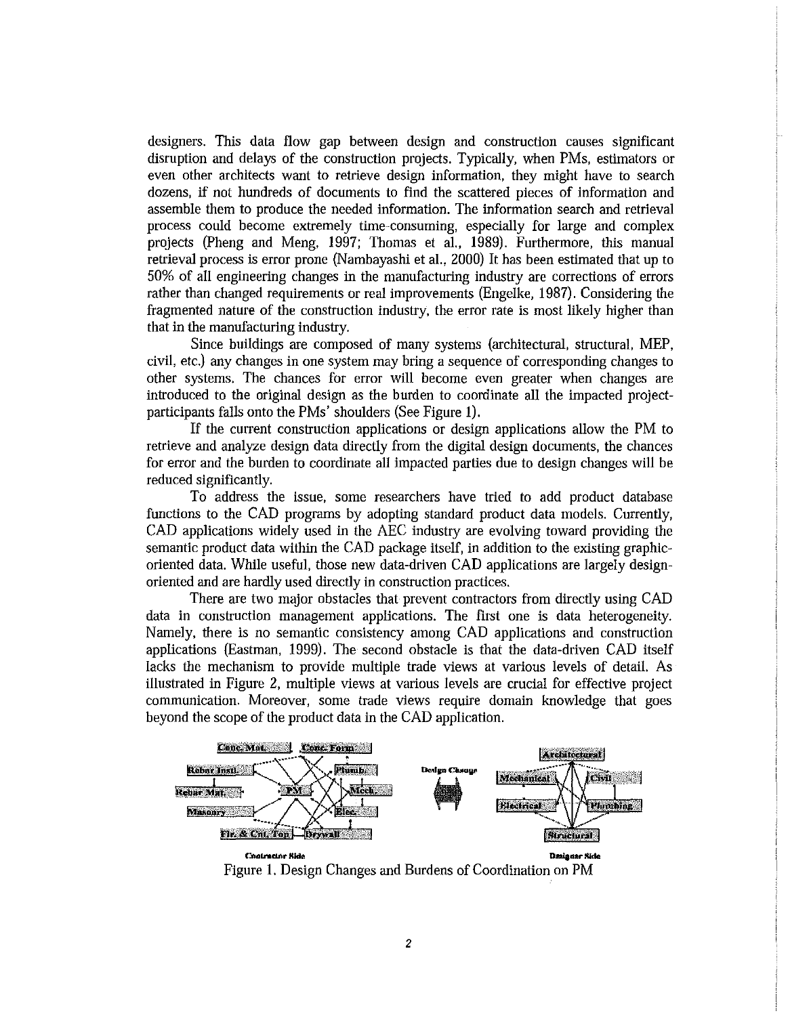designers. This data flow gap between design and construction causes significant disruption and delays of the construction projects. Typically, when PMs, estimators or even other architects want to retrieve design information, they might have to search dozens, if not hundreds of documents to find the scattered pieces of information and assemble them to produce the needed information. The information search and retrieval process could become extremely time-consuming, especially for large and complex projects (Pheng and Meng, 1997; Thomas et aI., 1989). Furthermore, this manual retrieval process is error prone (Nambayashi et aI., 2000) It has been estimated that up to 50% of all engineering changes in the manufacturing industry are corrections of errors rather than changed requirements or real improvements (Engelke, 1987). Considering the fragmented nature of the construction industry, the error rate is most likely higher than that in the manufacturing industry.

Since buildings are composed of many systems (architectural, structural, MEP, civil, etc.) any changes in one system may bring a sequence of corresponding changes to other systems. The chances for error will become even greater when changes are introduced to the original design as the burden to coordinate all the impacted projectparticipants falls onto the PMs' shoulders (See Figure I).

If the current construction applications or design applications allow the PM to retrieve and analyze design data directly from the digital design documents, the chances for error and the burden to coordinate all impacted parties due to design changes will be reduced significantly.

To address the issue, some researchers have tried to add product database functions to the CAD programs by adopting standard product data models. Currently, CAD applications widely used in the AEC industry are evolving toward providing the semantic product data within the CAD package itself, in addition to the existing graphicoriented data. While useful, those new data-driven CAD applications are largely designoriented and are hardly used directly in construction practices.

There are two major obstacles that prevent contractors from directly using CAD data in construction management applications. The first one is data heterogeneity. Namely, there is no semantic consistency among CAD applications and construction applications (Eastman, 1999). The second obstacle is that the data-driven CAD itself lacks the mechanism to provide multiple trade views at various levels of detail. As illustrated in Figure 2, multiple views at various levels are crucial for effective project communication. Moreover, some trade views require domain knowledge that goes beyond the scope of the product data in the CAD application.



Figure 1. Design Changes and Burdens of Coordination on PM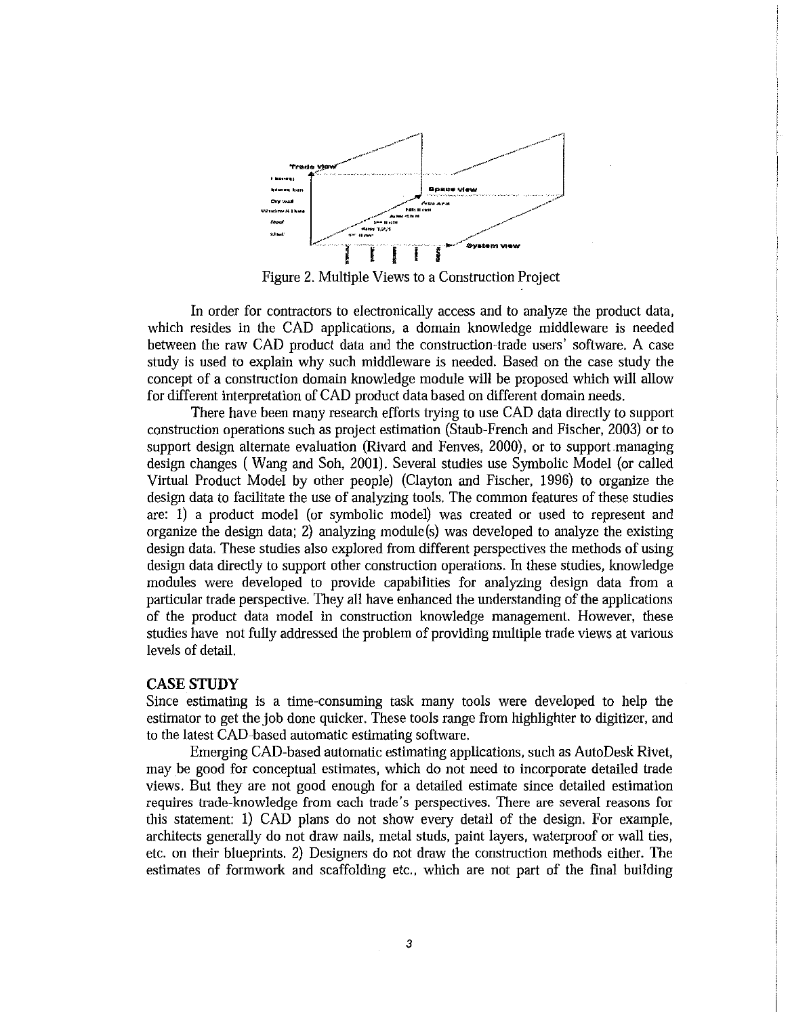

Figure 2. Multiple Views to a Construction Project

In order for contractors to electronically access and to analyze the product data, which resides in the CAD applications, a domain knowledge middleware is needed between the raw CAD product data and the construction-trade users' software. A case study is used to explain why such middleware is needed. Based on the case study the concept of a construction domain knowledge module will be proposed which will allow for different interpretation of CAD product data based on different domain needs.

There have been many research efforts trying to use CAD data directly to support construction operations such as project estimation (Staub-French and Fischer, 2003) or to support design alternate evaluation (Rivard and Fenves, 2000), or to support.managing design changes (Wang and Soh, 2001). Several studies use Symbolic Model (or called Virtual Product Model by other people) (Clayton and Fischer, 1996) to organize the design data to facilitate the use of analyzing tools. The common features of these studies are: 1) a product model (or symholic model) was created or used to represent and organize the design data; 2) analyzing module (s) was developed to analyze the existing design data. These studies also explored from different perspectives the methods of using design data directly to support other construction operations. In these studies, knowledge modules were developed to provide capabilities for analyzing design data from a particular trade perspective. They all have enhanced the understanding of the applications of the product data model in construction knowledge management. However, these studies have not fully addressed the problem of providing multiple trade views at various levels of detail.

#### CASE STUDY

Since estimating is a time-consuming task many tools were developed to help the estimator to get the job done quicker. These tools range from highlighter to digitizer, and to the latest CAD-based automatic estimating software.

Emerging CAD-based automatic estimating applications, such as AutoDesk Rivet, may be good for conceptual estimates, which do not need to incorporate detailed trade views. But they are not good enough for a detailed estimate since detailed estimation requires trade-knowledge from each trade's perspectives. There are several reasons for this statement: 1) CAD plans do not show every detail of the design. For example, architects generally do not draw nails, metal studs, paint layers, waterproof or wall ties, etc. on their blueprints. 2) Designers do not draw the construction methods either. The estimates of formwork and scaffolding etc., which are not part of the final building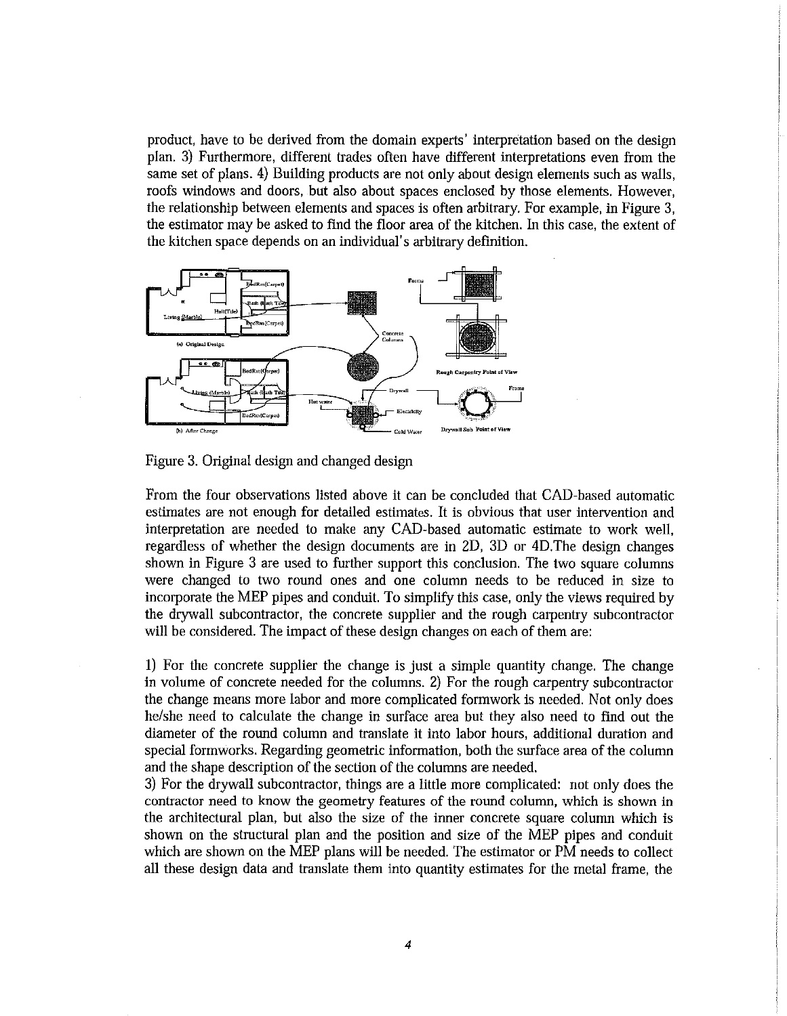product, have to be derived from the domain experts' interpretation based on the design plan. 3) Furthermore, different trades often have different interpretations even from the same set of plans. 4) Building products are not only about design elements such as walls, roofs windows and doors, but also about spaces enclosed by those elements. However, the relationship between elements and spaces is often arbitrary. For example, in Figure 3, the estimator may be asked to find the floor area of the kitchen. In this case, the extent of the kitchen space depends on an individual's arbitrary definition.



Figure 3. Original design and changed design

From the four observations listed above it can be concluded that CAD-based automatic estimates are not enough for detailed estimates. It is obvious that user intervention and interpretation are needed to make any CAD-based automatic estimate to work well, regardless of whether the design documents are in 2D, 3D or 4D.The design changes shown in Figure 3 are used to further support this conclusion. The two square columns were changed to two round ones and one column needs to be reduced in size to incorporate the MEP pipes and conduit. To simplify this case, only the views required by the drywall subcontractor, the concrete supplier and the rough carpentry subcontractor will be considered. The impact of these design changes on each of them are:

1) For the concrete supplier the change is just a simple quantity change. The change in volume of concrete needed for the columns. 2) For the rough carpentry subcontractor the change means more labor and more complicated formwork is needed. Not only does he/she need to calculate the change in surface area but they also need to find out the diameter of the round column and translate it into labor hours, additional duration and special formworks. Regarding geometric information, both the surface area of the column and the shape description of the section of the columns are needed.

3) For the drywall subcontractor, things are a little more complicated: not only does the contractor need to know the geometry features of the round column, which is shown in the architectural plan, but also the size of the inner concrete square column which is shown on the structural plan and the position and size of the MEP pipes and conduit which are shown on the MEP plans will be needed. The estimator or PM needs to collect all these design data and translate them into quantity estimates for the metal frame, the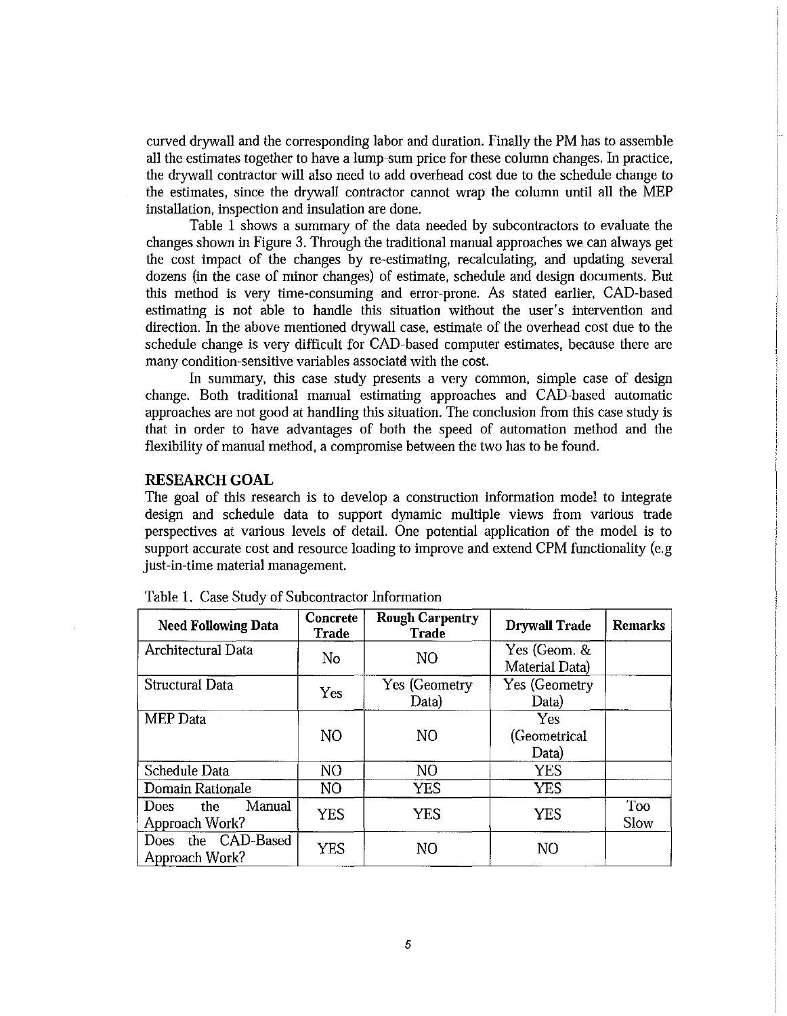curved drywall and the corresponding labor and duration. Finally the PM has to assemble all the estimates together to have a lump-sum price for these column changes. In practice, the drywall contractor will also need to add overhead cost due to the schedule change to the estimates, since the drywall contractor cannot wrap the column until all the MEP installation, inspection and insulation are done.

Table I shows a summary of the data needed by subcontractors to evaluate the changes shown in Figure 3. Through the traditional manual approaches we can always get the cost impact of the changes by re-estimating, recalculating, and updating several dozens (in the case of minor changes) of estimate, schedule and design documents. But this method is very time-consuming and error-prone. As stated earlier, CAD-based estimating is not able to handle this situation without the user's intervention and direction. In the above mentioned drywall case, estimate of the overhead cost due to the schedule change is very difficult for CAD-based computer estimates, because there are many condition-sensitive variables associate with the cost.

In summary, this case study presents a very common, simple case of design change. Both traditional manual estimating approaches and CAD-based automatic approaches are not good at handling this situation. The conclusion from this case study is that in order to have advantages of both the speed of automation method and the flexibility of manual method, a compromise between the two has to be found.

#### RESEARCH GOAL

The goal of this research is to develop a construction information model to integrate design and schedule data to support dynamic multiple views from various trade perspectives at various levels of detail. One potential application of the model is to support accurate cost and resource loading to improve and extend CPM functionality (e.g just-in-time material management.

| <b>Need Following Data</b>                | Concrete<br>Trade | <b>Rough Carpentry</b><br><b>Trade</b> | <b>Drywall Trade</b>             | <b>Remarks</b> |
|-------------------------------------------|-------------------|----------------------------------------|----------------------------------|----------------|
| Architectural Data                        | No                | NO                                     | Yes (Geom. $&$<br>Material Data) |                |
| <b>Structural Data</b>                    | Yes               | Yes (Geometry<br>Data)                 | Yes (Geometry<br>Data)           |                |
| MEP Data                                  | N <sub>O</sub>    | N <sub>O</sub>                         | Yes.<br>(Geometrical<br>Data)    |                |
| Schedule Data                             | NO.               | NO                                     | <b>YES</b>                       |                |
| Domain Rationale                          | NΟ                | YES                                    | <b>YES</b>                       |                |
| Manual<br>the.<br>Does.<br>Approach Work? | <b>YES</b>        | <b>YES</b>                             | <b>YES</b>                       | Too<br>Slow    |
| Does the CAD-Based<br>Approach Work?      | YES               | NO                                     | NO                               |                |

| Table 1. Case Study of Subcontractor Information |  |
|--------------------------------------------------|--|
|                                                  |  |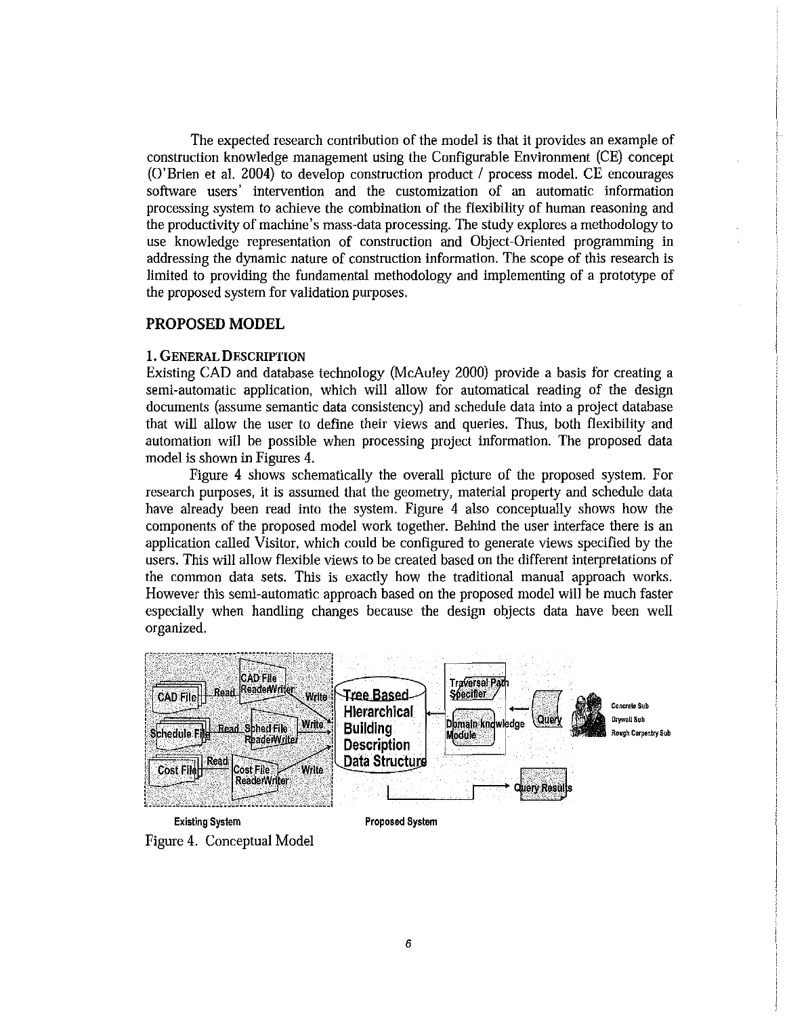The expected research contribution of the model is that it provides an example of construction knowledge management using the Configurable Environment (CE) concept (O'Brien et al. 2004) to develop construction product / process model. CE encourages software users' intervention and the customization of an automatic information processing system to achieve the combination of the flexibility of human reasoning and the productivity of machine's mass-data processing. The study explores a methodology to use knowledge representation of construction and Object-Oriented programming in addressing the dynamic nature of construction information. The scope of this research is limited to providing the fundamental methodology and implementing of a prototype of the proposed system for validation purposes.

#### **PROPOSED MODEL**

#### **1. GENERAL DESCRIPTION**

Existing CAD and database technology (McAuley 2000) provide a basis for creating a semi-automatic application, which will allow for automatical reading of the design documents (assume semantic data consistency) and schedule data into a project database that will allow the user to define their views and queries. Thus, both flexibility and automation will be possible when processing project information. The proposed data model is shown in Figures 4.

Figure 4 shows schematically the overall picture of the proposed system. For research purposes, it is assumed that the geometry, material property and schedule data have already been read into the system. Figure 4 also conceptually shows how the components of the proposed model work together. Behind the user interface there is an application called Visitor, which could be configured to generate views specified by the users. This will allow flexible views to be created based on the different interpretations of the common data sets. This is exactly how the traditional manual approach works. However this semi-automatic approach based on the proposed model will be much faster especially when handling changes because the design objects data have been well organized.



Figure 4. Conceptual Model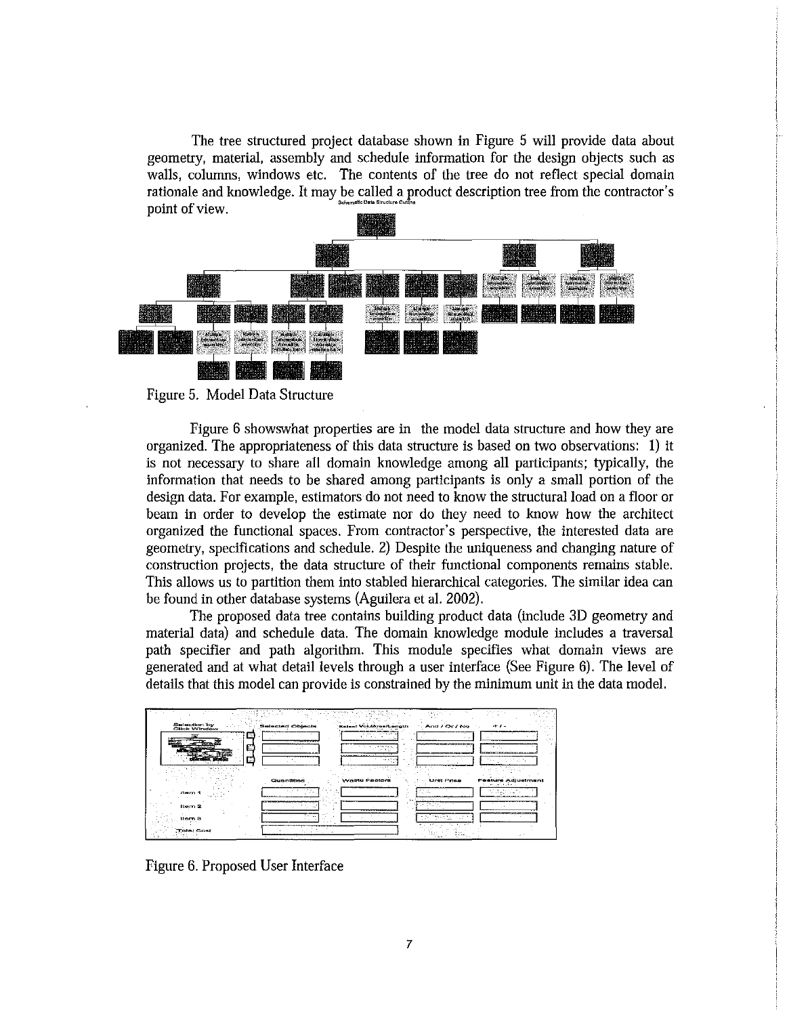The tree structured project database shown in Figure 5 will provide data about geometry, material, assembly and schedule information for the design objects such as walls, columns, windows etc. The contents of the tree do not reflect special domain rationale and knowledge. It may be called a product description tree from the contractor's point of view.





Figure 6 showswhat properties are in the model data structure and how they are organized. The appropriateness of this data structure is based on two observations: I) it is not necessary to share all domain knowledge among all participants; typically, the information that needs to be shared among participants is only a small portion of the design data. For example, estimators do not need to know the structural load on a floor or beam in order to develop the estimate nor do they need to know how the architect organized the functional spaces. From contractor's perspective, the interested data are geometry, specifications and schedule. 2) Despite the uniqueness and changing nature of construction projects, the data structure of their functional components remains stable. This allows us to partition them into stabled hierarchical categories. The similar idea can be found in other database systems (Aguilera et al. 2002).

The proposed data tree contains building product data (include 3D geometry and material data) and schedule data. The domain knowledge module includes a traversal path specifier and path algorithm. This module specifies what domain views are generated and at what detail levels through a user interface (See Figure 6). The level of details that this model can provide is constrained by the minimum unit in the data model.

| .<br>Selection by<br>Click Window | i Filip<br>an sa sala<br>CUN.<br>Selected Objects | Salact Vol. Area/Longu | <b>Auto</b><br>distribution<br>$\sim$ And / Or / No. $\sim$ | $+1-$              |
|-----------------------------------|---------------------------------------------------|------------------------|-------------------------------------------------------------|--------------------|
|                                   | ĿY.<br>Ε                                          |                        |                                                             | .<br>.<br>$\cdots$ |
|                                   | E.<br>Quantities                                  | Waste Factors          | $\sim$ $\sim$<br>- Unit Price                               | Feature Adjustment |
| Jtem 1                            | $1 - 2 = 1$                                       |                        | .                                                           | al a de            |
| Item 2<br>Item 3                  | $\overline{a}$                                    |                        | $\sim$                                                      |                    |
| Total Cost                        |                                                   |                        | L'home.                                                     |                    |

Figure 6. Proposed User Interface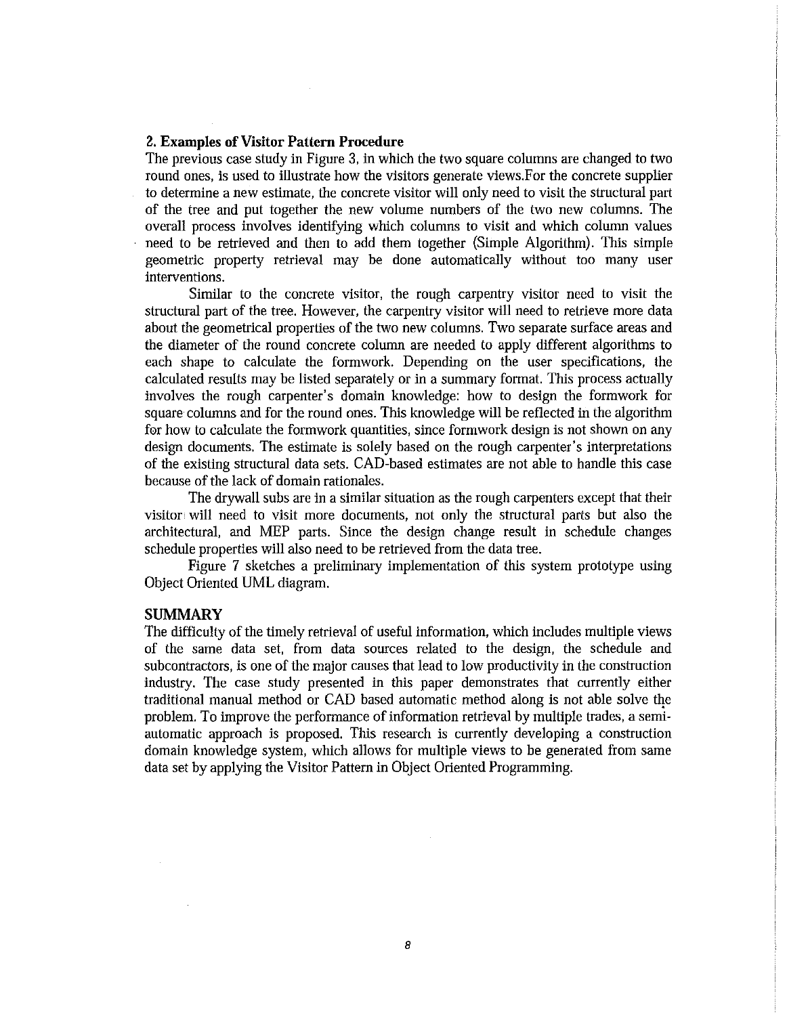#### 2. **Examples of Visitor Pattern Procedure**

The previous case study in Figure 3, in which the two square columns are changed to two round ones, is used to illustrate how the visitors generate views.For the concrete supplier to determine a new estimate, the concrete visitor will only need to visit the structural part of the tree and put together the new volume numbers of the two new columns. The overall process involves identifying which columns to visit and which column values need to be retrieved and then to add them together (Simple Algorithm). This simple geometric property retrieval may be done automatically without too many user interventions.

Similar to the concrete visitor, the rough carpentry visitor need to visit the structural part of the tree. However, the carpentry visitor will need to retrieve more data about the geometrical properties of the two new columns. Two separate surface areas and the diameter of the round concrete column are needed to apply different algorithms to each shape to calculate the formwork. Depending on the user specifications, the calculated results may be listed separately or in a summary format. This process actually involves the rough carpenter's domain knowledge: how to design the formwork for square columns and for the round ones. This knowledge will be reflected in the algorithm for how to calculate the formwork quantities, since formwork design is not shown on any design documents. The estimate is solely based on the rough carpenter's interpretations of the existing structural data sets. CAD-based estimates are not able to handle this case because of the lack of domain rationales.

The drywall subs are in a similar situation as the rough carpenters except that their visitor; will need to visit more documents, not only the structural parts but also the architectural, and MEP parts. Since the design change result in schedule changes schedule properties will also need to be retrieved from the data tree.

Figure 7 sketches a preliminary implementation of this system prototype using Object Oriented UML diagram.

#### SUMMARY

The difficulty of the timely retrieval of useful information, which includes multiple views of the same data set, from data sources related to the design, the schedule and subcontractors, is one of the major causes that lead to low productivity **in** the construction industry. The case study presented in this paper demonstrates that currently either traditional manual method or CAD based automatic method along is not able solve the problem. To improve the performance of information retrieval by multiple trades, a semiautomatic approach is proposed. This research is currently developing a construction domain knowledge system, which allows for multiple views to be generated from same data set by applying the Visitor Pattern in Object Oriented Programming.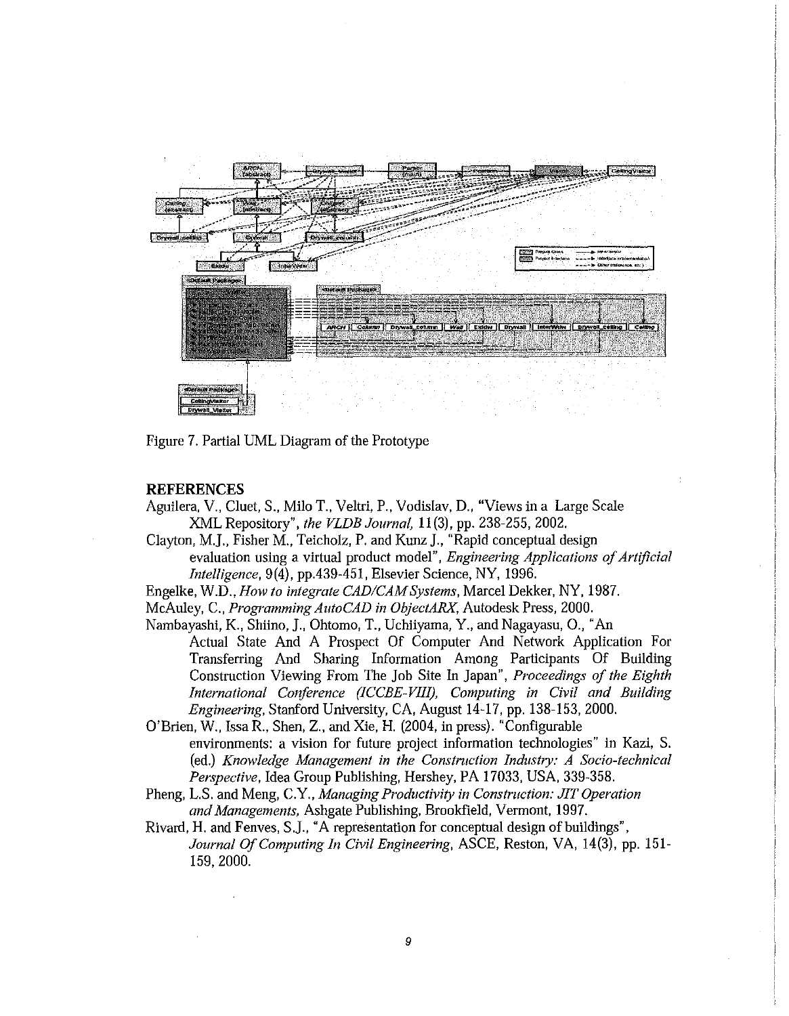

Figure 7. Partial UML Diagram of the Prototype

#### **REFERENCES**

- Aguilera, V., Cluet, S., Milo T., Veltri, P., Vodislav, D.. "Views in a Large Scale XML Repository", *the VLDB Journal,* **11** (3), pp. 238-255, 2002.
- Clayton, M,J., Fisher M., Teicholz, P. and Kunz]., "Rapid conceptual design evaluation using a virtual product model", *Engineering Applications of Artificial Intelligence,* 9(4), pp.439-451, Elsevier Science, NY, 1996.

Engelke, W.D., *How to integrate CAD/CAMSystems,* Marcel Dekker, NY, 1987.

McAuley, C., *Programming AutoCAD in ObjectARX,* Autodesk Press, 2000.

- Nambayashi, K, Shiino,]., Ohtomo, T., Uchiiyama, Y, and Nagayasu, 0., "An Actual State And A Prospect Of Computer And Network Application For Transferring And Sharing Information Among Participants Of Building Construction Viewing From The Job Site In Japan", *Proceedings of the Eighth International Conference (ICCBE-VIII), Computing in Civil and Building Engineering,* Stanford University, CA, August 14-17, pp. 138-153,2000.
- O'Brien, W., Issa R, Shen, Z., and Xie, H. (2004, in press). "Configurable environments: a vision for future project information technologies" in Kazi, S. (ed.) *Knowledge Management in the Construction Industry: A Socia-technical Perspective,* Idea Group Publishing, Hershey, PA 17033, USA, 339-358.
- Pheng, L.S. and Meng, C.Y, *Managing Productivity in Construction: JIT Operation* and Managements, Ashgate Publishing, Brookfield, Vermont, 1997.
- Rivard, H. and Fenves, S,J., "A representation for conceptual design of buildings" , *Journal OfComputing In Civil Engineering,* ASCE, Reston, VA, 14(3), pp. 151- 159,2000.